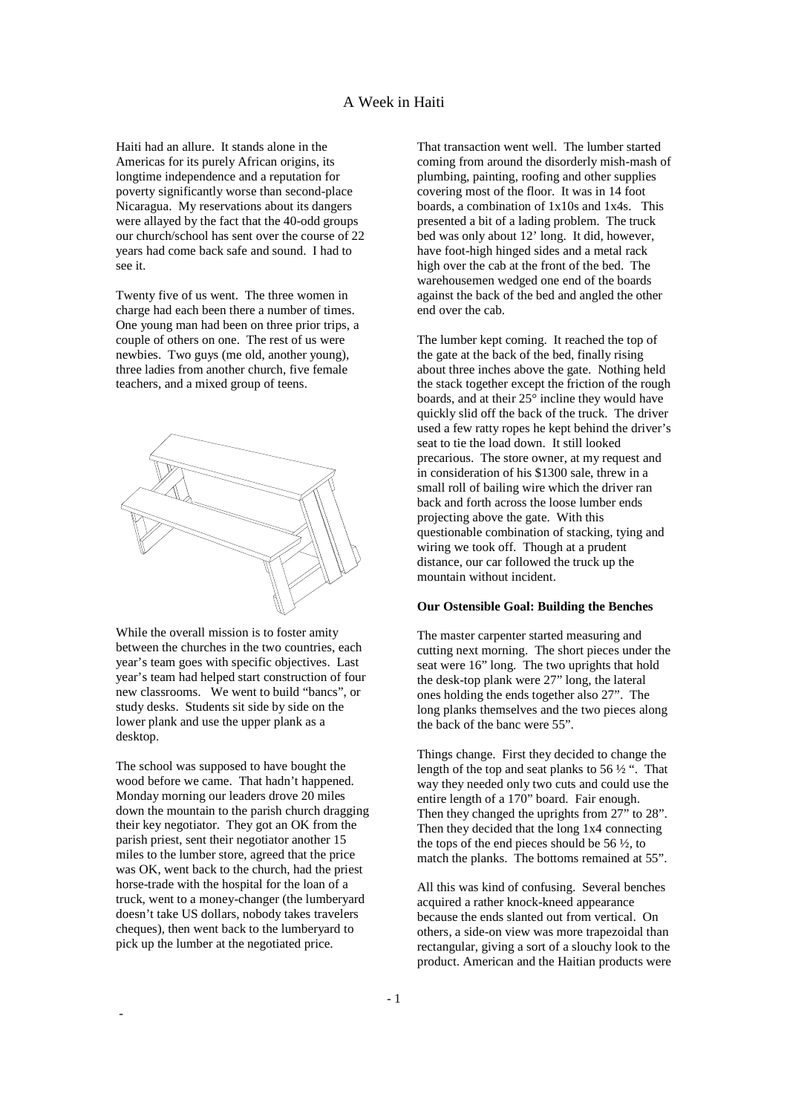Haiti had an allure. It stands alone in the Americas for its purely African origins, its longtime independence and a reputation for poverty significantly worse than second-place Nicaragua. My reservations about its dangers were allayed by the fact that the 40-odd groups our church/school has sent over the course of 22 years had come back safe and sound. I had to see it.

Twenty five of us went. The three women in charge had each been there a number of times. One young man had been on three prior trips, a couple of others on one. The rest of us were newbies. Two guys (me old, another young), three ladies from another church, five female teachers, and a mixed group of teens.



While the overall mission is to foster amity between the churches in the two countries, each year's team goes with specific objectives. Last year's team had helped start construction of four new classrooms. We went to build "bancs", or study desks. Students sit side by side on the lower plank and use the upper plank as a desktop.

The school was supposed to have bought the wood before we came. That hadn't happened. Monday morning our leaders drove 20 miles down the mountain to the parish church dragging their key negotiator. They got an OK from the parish priest, sent their negotiator another 15 miles to the lumber store, agreed that the price was OK, went back to the church, had the priest horse-trade with the hospital for the loan of a truck, went to a money-changer (the lumberyard doesn't take US dollars, nobody takes travelers cheques), then went back to the lumberyard to pick up the lumber at the negotiated price.

-

That transaction went well. The lumber started coming from around the disorderly mish-mash of plumbing, painting, roofing and other supplies covering most of the floor. It was in 14 foot boards, a combination of 1x10s and 1x4s. This presented a bit of a lading problem. The truck bed was only about 12' long. It did, however, have foot-high hinged sides and a metal rack high over the cab at the front of the bed. The warehousemen wedged one end of the boards against the back of the bed and angled the other end over the cab.

The lumber kept coming. It reached the top of the gate at the back of the bed, finally rising about three inches above the gate. Nothing held the stack together except the friction of the rough boards, and at their  $25^{\circ}$  incline they would have quickly slid off the back of the truck. The driver used a few ratty ropes he kept behind the driver's seat to tie the load down. It still looked precarious. The store owner, at my request and in consideration of his \$1300 sale, threw in a small roll of bailing wire which the driver ran back and forth across the loose lumber ends projecting above the gate. With this questionable combination of stacking, tying and wiring we took off. Though at a prudent distance, our car followed the truck up the mountain without incident.

## **Our Ostensible Goal: Building the Benches**

The master carpenter started measuring and cutting next morning. The short pieces under the seat were 16" long. The two uprights that hold the desk-top plank were 27" long, the lateral ones holding the ends together also 27". The long planks themselves and the two pieces along the back of the banc were 55".

Things change. First they decided to change the length of the top and seat planks to 56  $\frac{1}{2}$ ". That way they needed only two cuts and could use the entire length of a 170" board. Fair enough. Then they changed the uprights from 27" to 28". Then they decided that the long 1x4 connecting the tops of the end pieces should be  $56 \frac{1}{2}$ , to match the planks. The bottoms remained at 55".

All this was kind of confusing. Several benches acquired a rather knock-kneed appearance because the ends slanted out from vertical. On others, a side-on view was more trapezoidal than rectangular, giving a sort of a slouchy look to the product. American and the Haitian products were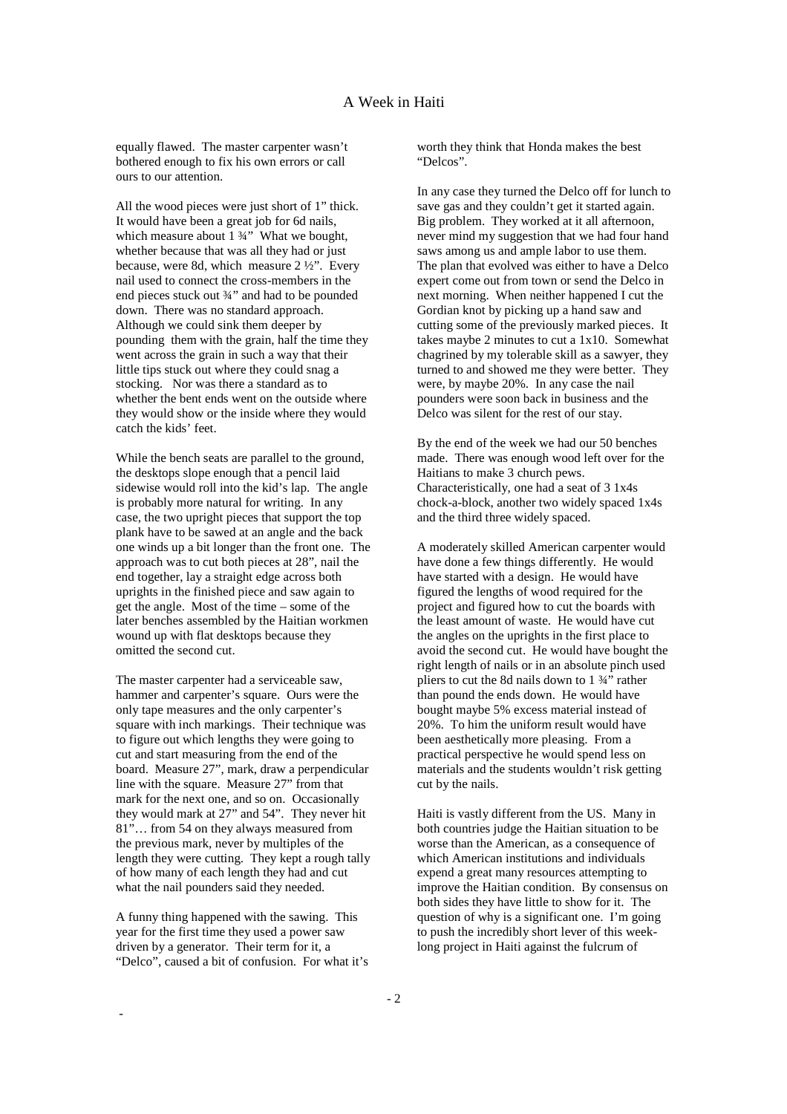equally flawed. The master carpenter wasn't bothered enough to fix his own errors or call ours to our attention.

All the wood pieces were just short of 1" thick. It would have been a great job for 6d nails, which measure about  $1\frac{3}{4}$ " What we bought, whether because that was all they had or just because, were 8d, which measure 2 ½". Every nail used to connect the cross-members in the end pieces stuck out ¾" and had to be pounded down. There was no standard approach. Although we could sink them deeper by pounding them with the grain, half the time they went across the grain in such a way that their little tips stuck out where they could snag a stocking. Nor was there a standard as to whether the bent ends went on the outside where they would show or the inside where they would catch the kids' feet.

While the bench seats are parallel to the ground, the desktops slope enough that a pencil laid sidewise would roll into the kid's lap. The angle is probably more natural for writing. In any case, the two upright pieces that support the top plank have to be sawed at an angle and the back one winds up a bit longer than the front one. The approach was to cut both pieces at 28", nail the end together, lay a straight edge across both uprights in the finished piece and saw again to get the angle. Most of the time – some of the later benches assembled by the Haitian workmen wound up with flat desktops because they omitted the second cut.

The master carpenter had a serviceable saw, hammer and carpenter's square. Ours were the only tape measures and the only carpenter's square with inch markings. Their technique was to figure out which lengths they were going to cut and start measuring from the end of the board. Measure 27", mark, draw a perpendicular line with the square. Measure 27" from that mark for the next one, and so on. Occasionally they would mark at 27" and 54". They never hit 81"… from 54 on they always measured from the previous mark, never by multiples of the length they were cutting. They kept a rough tally of how many of each length they had and cut what the nail pounders said they needed.

A funny thing happened with the sawing. This year for the first time they used a power saw driven by a generator. Their term for it, a "Delco", caused a bit of confusion. For what it's

-

worth they think that Honda makes the best "Delcos".

In any case they turned the Delco off for lunch to save gas and they couldn't get it started again. Big problem. They worked at it all afternoon, never mind my suggestion that we had four hand saws among us and ample labor to use them. The plan that evolved was either to have a Delco expert come out from town or send the Delco in next morning. When neither happened I cut the Gordian knot by picking up a hand saw and cutting some of the previously marked pieces. It takes maybe 2 minutes to cut a 1x10. Somewhat chagrined by my tolerable skill as a sawyer, they turned to and showed me they were better. They were, by maybe 20%. In any case the nail pounders were soon back in business and the Delco was silent for the rest of our stay.

By the end of the week we had our 50 benches made. There was enough wood left over for the Haitians to make 3 church pews. Characteristically, one had a seat of 3 1x4s chock-a-block, another two widely spaced 1x4s and the third three widely spaced.

A moderately skilled American carpenter would have done a few things differently. He would have started with a design. He would have figured the lengths of wood required for the project and figured how to cut the boards with the least amount of waste. He would have cut the angles on the uprights in the first place to avoid the second cut. He would have bought the right length of nails or in an absolute pinch used pliers to cut the 8d nails down to  $1\frac{3}{4}$  rather than pound the ends down. He would have bought maybe 5% excess material instead of 20%. To him the uniform result would have been aesthetically more pleasing. From a practical perspective he would spend less on materials and the students wouldn't risk getting cut by the nails.

Haiti is vastly different from the US. Many in both countries judge the Haitian situation to be worse than the American, as a consequence of which American institutions and individuals expend a great many resources attempting to improve the Haitian condition. By consensus on both sides they have little to show for it. The question of why is a significant one. I'm going to push the incredibly short lever of this weeklong project in Haiti against the fulcrum of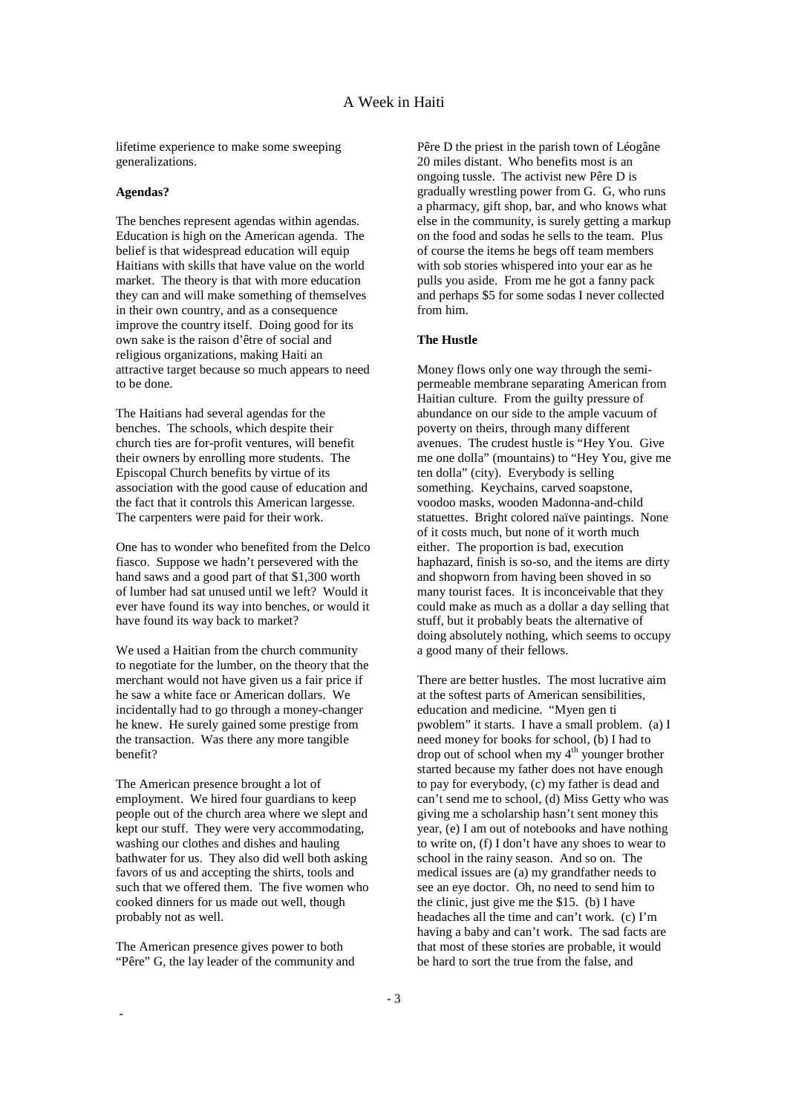lifetime experience to make some sweeping generalizations.

#### **Agendas?**

The benches represent agendas within agendas. Education is high on the American agenda. The belief is that widespread education will equip Haitians with skills that have value on the world market. The theory is that with more education they can and will make something of themselves in their own country, and as a consequence improve the country itself. Doing good for its own sake is the raison d'être of social and religious organizations, making Haiti an attractive target because so much appears to need to be done.

The Haitians had several agendas for the benches. The schools, which despite their church ties are for-profit ventures, will benefit their owners by enrolling more students. The Episcopal Church benefits by virtue of its association with the good cause of education and the fact that it controls this American largesse. The carpenters were paid for their work.

One has to wonder who benefited from the Delco fiasco. Suppose we hadn't persevered with the hand saws and a good part of that \$1,300 worth of lumber had sat unused until we left? Would it ever have found its way into benches, or would it have found its way back to market?

We used a Haitian from the church community to negotiate for the lumber, on the theory that the merchant would not have given us a fair price if he saw a white face or American dollars. We incidentally had to go through a money-changer he knew. He surely gained some prestige from the transaction. Was there any more tangible benefit?

The American presence brought a lot of employment. We hired four guardians to keep people out of the church area where we slept and kept our stuff. They were very accommodating, washing our clothes and dishes and hauling bathwater for us. They also did well both asking favors of us and accepting the shirts, tools and such that we offered them. The five women who cooked dinners for us made out well, though probably not as well.

The American presence gives power to both "Pêre" G, the lay leader of the community and

-

Pêre D the priest in the parish town of Léogâne 20 miles distant. Who benefits most is an ongoing tussle. The activist new Pêre D is gradually wrestling power from G. G, who runs a pharmacy, gift shop, bar, and who knows what else in the community, is surely getting a markup on the food and sodas he sells to the team. Plus of course the items he begs off team members with sob stories whispered into your ear as he pulls you aside. From me he got a fanny pack and perhaps \$5 for some sodas I never collected from him.

## **The Hustle**

Money flows only one way through the semipermeable membrane separating American from Haitian culture. From the guilty pressure of abundance on our side to the ample vacuum of poverty on theirs, through many different avenues. The crudest hustle is "Hey You. Give me one dolla" (mountains) to "Hey You, give me ten dolla" (city). Everybody is selling something. Keychains, carved soapstone, voodoo masks, wooden Madonna-and-child statuettes. Bright colored naïve paintings. None of it costs much, but none of it worth much either. The proportion is bad, execution haphazard, finish is so-so, and the items are dirty and shopworn from having been shoved in so many tourist faces. It is inconceivable that they could make as much as a dollar a day selling that stuff, but it probably beats the alternative of doing absolutely nothing, which seems to occupy a good many of their fellows.

There are better hustles. The most lucrative aim at the softest parts of American sensibilities, education and medicine. "Myen gen ti pwoblem" it starts. I have a small problem. (a) I need money for books for school, (b) I had to drop out of school when my  $4<sup>th</sup>$  younger brother started because my father does not have enough to pay for everybody, (c) my father is dead and can't send me to school, (d) Miss Getty who was giving me a scholarship hasn't sent money this year, (e) I am out of notebooks and have nothing to write on, (f) I don't have any shoes to wear to school in the rainy season. And so on. The medical issues are (a) my grandfather needs to see an eye doctor. Oh, no need to send him to the clinic, just give me the \$15. (b) I have headaches all the time and can't work. (c) I'm having a baby and can't work. The sad facts are that most of these stories are probable, it would be hard to sort the true from the false, and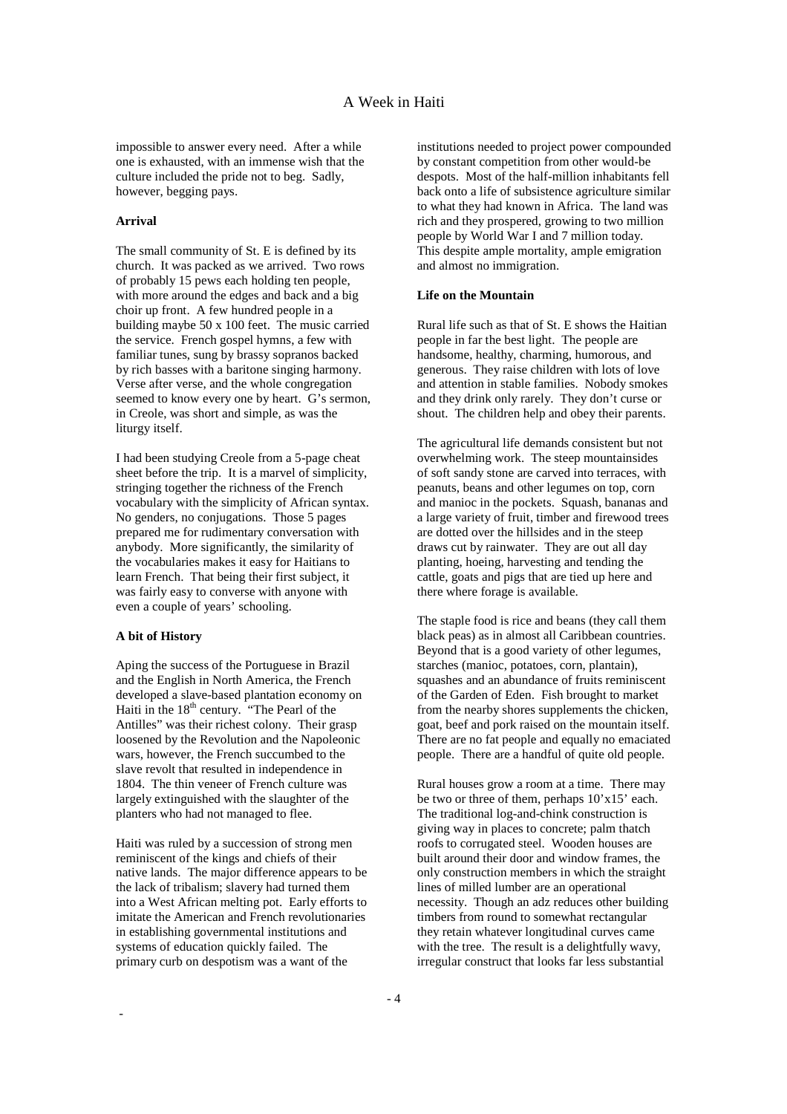impossible to answer every need. After a while one is exhausted, with an immense wish that the culture included the pride not to beg. Sadly, however, begging pays.

### **Arrival**

The small community of St. E is defined by its church. It was packed as we arrived. Two rows of probably 15 pews each holding ten people, with more around the edges and back and a big choir up front. A few hundred people in a building maybe 50 x 100 feet. The music carried the service. French gospel hymns, a few with familiar tunes, sung by brassy sopranos backed by rich basses with a baritone singing harmony. Verse after verse, and the whole congregation seemed to know every one by heart. G's sermon, in Creole, was short and simple, as was the liturgy itself.

I had been studying Creole from a 5-page cheat sheet before the trip. It is a marvel of simplicity, stringing together the richness of the French vocabulary with the simplicity of African syntax. No genders, no conjugations. Those 5 pages prepared me for rudimentary conversation with anybody. More significantly, the similarity of the vocabularies makes it easy for Haitians to learn French. That being their first subject, it was fairly easy to converse with anyone with even a couple of years' schooling.

#### **A bit of History**

-

Aping the success of the Portuguese in Brazil and the English in North America, the French developed a slave-based plantation economy on Haiti in the  $18<sup>th</sup>$  century. "The Pearl of the Antilles" was their richest colony. Their grasp loosened by the Revolution and the Napoleonic wars, however, the French succumbed to the slave revolt that resulted in independence in 1804. The thin veneer of French culture was largely extinguished with the slaughter of the planters who had not managed to flee.

Haiti was ruled by a succession of strong men reminiscent of the kings and chiefs of their native lands. The major difference appears to be the lack of tribalism; slavery had turned them into a West African melting pot. Early efforts to imitate the American and French revolutionaries in establishing governmental institutions and systems of education quickly failed. The primary curb on despotism was a want of the

institutions needed to project power compounded by constant competition from other would-be despots. Most of the half-million inhabitants fell back onto a life of subsistence agriculture similar to what they had known in Africa. The land was rich and they prospered, growing to two million people by World War I and 7 million today. This despite ample mortality, ample emigration and almost no immigration.

### **Life on the Mountain**

Rural life such as that of St. E shows the Haitian people in far the best light. The people are handsome, healthy, charming, humorous, and generous. They raise children with lots of love and attention in stable families. Nobody smokes and they drink only rarely. They don't curse or shout. The children help and obey their parents.

The agricultural life demands consistent but not overwhelming work. The steep mountainsides of soft sandy stone are carved into terraces, with peanuts, beans and other legumes on top, corn and manioc in the pockets. Squash, bananas and a large variety of fruit, timber and firewood trees are dotted over the hillsides and in the steep draws cut by rainwater. They are out all day planting, hoeing, harvesting and tending the cattle, goats and pigs that are tied up here and there where forage is available.

The staple food is rice and beans (they call them black peas) as in almost all Caribbean countries. Beyond that is a good variety of other legumes, starches (manioc, potatoes, corn, plantain), squashes and an abundance of fruits reminiscent of the Garden of Eden. Fish brought to market from the nearby shores supplements the chicken, goat, beef and pork raised on the mountain itself. There are no fat people and equally no emaciated people. There are a handful of quite old people.

Rural houses grow a room at a time. There may be two or three of them, perhaps 10'x15' each. The traditional log-and-chink construction is giving way in places to concrete; palm thatch roofs to corrugated steel. Wooden houses are built around their door and window frames, the only construction members in which the straight lines of milled lumber are an operational necessity. Though an adz reduces other building timbers from round to somewhat rectangular they retain whatever longitudinal curves came with the tree. The result is a delightfully wavy, irregular construct that looks far less substantial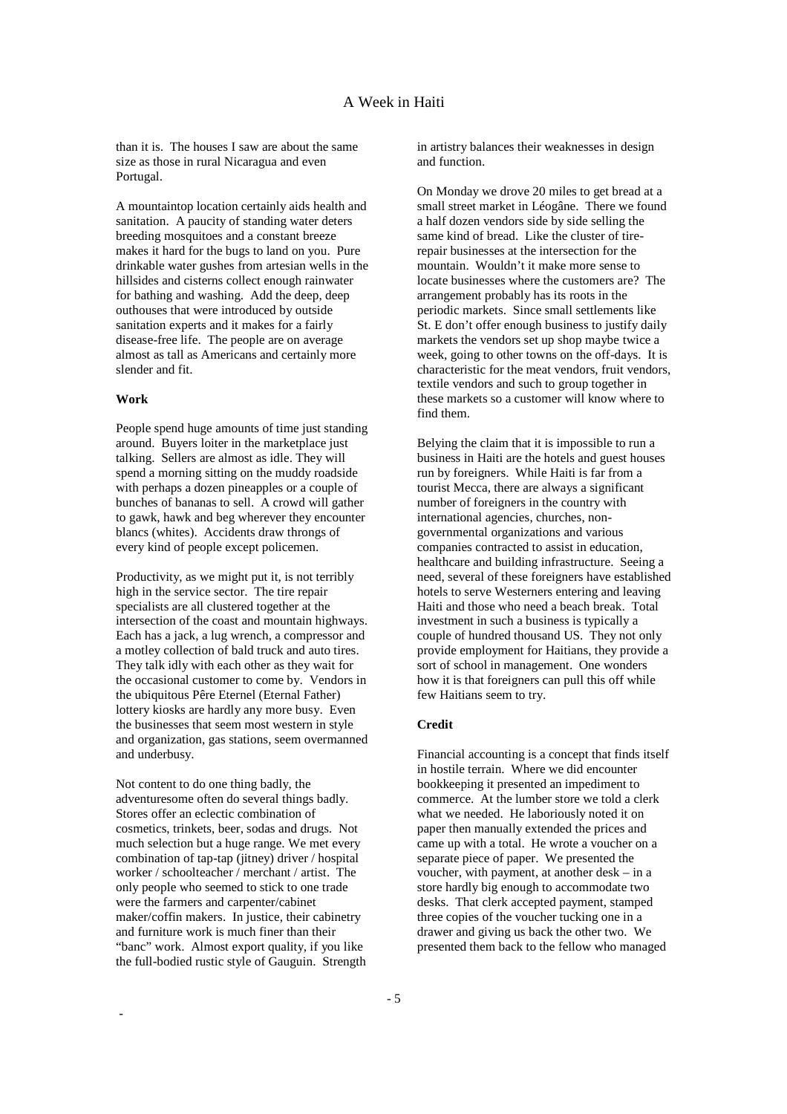than it is. The houses I saw are about the same size as those in rural Nicaragua and even Portugal.

A mountaintop location certainly aids health and sanitation. A paucity of standing water deters breeding mosquitoes and a constant breeze makes it hard for the bugs to land on you. Pure drinkable water gushes from artesian wells in the hillsides and cisterns collect enough rainwater for bathing and washing. Add the deep, deep outhouses that were introduced by outside sanitation experts and it makes for a fairly disease-free life. The people are on average almost as tall as Americans and certainly more slender and fit.

## **Work**

-

People spend huge amounts of time just standing around. Buyers loiter in the marketplace just talking. Sellers are almost as idle. They will spend a morning sitting on the muddy roadside with perhaps a dozen pineapples or a couple of bunches of bananas to sell. A crowd will gather to gawk, hawk and beg wherever they encounter blancs (whites). Accidents draw throngs of every kind of people except policemen.

Productivity, as we might put it, is not terribly high in the service sector. The tire repair specialists are all clustered together at the intersection of the coast and mountain highways. Each has a jack, a lug wrench, a compressor and a motley collection of bald truck and auto tires. They talk idly with each other as they wait for the occasional customer to come by. Vendors in the ubiquitous Pêre Eternel (Eternal Father) lottery kiosks are hardly any more busy. Even the businesses that seem most western in style and organization, gas stations, seem overmanned and underbusy.

Not content to do one thing badly, the adventuresome often do several things badly. Stores offer an eclectic combination of cosmetics, trinkets, beer, sodas and drugs. Not much selection but a huge range. We met every combination of tap-tap (jitney) driver / hospital worker / schoolteacher / merchant / artist. The only people who seemed to stick to one trade were the farmers and carpenter/cabinet maker/coffin makers. In justice, their cabinetry and furniture work is much finer than their "banc" work. Almost export quality, if you like the full-bodied rustic style of Gauguin. Strength in artistry balances their weaknesses in design and function.

On Monday we drove 20 miles to get bread at a small street market in Léogâne. There we found a half dozen vendors side by side selling the same kind of bread. Like the cluster of tirerepair businesses at the intersection for the mountain. Wouldn't it make more sense to locate businesses where the customers are? The arrangement probably has its roots in the periodic markets. Since small settlements like St. E don't offer enough business to justify daily markets the vendors set up shop maybe twice a week, going to other towns on the off-days. It is characteristic for the meat vendors, fruit vendors, textile vendors and such to group together in these markets so a customer will know where to find them.

Belying the claim that it is impossible to run a business in Haiti are the hotels and guest houses run by foreigners. While Haiti is far from a tourist Mecca, there are always a significant number of foreigners in the country with international agencies, churches, nongovernmental organizations and various companies contracted to assist in education, healthcare and building infrastructure. Seeing a need, several of these foreigners have established hotels to serve Westerners entering and leaving Haiti and those who need a beach break. Total investment in such a business is typically a couple of hundred thousand US. They not only provide employment for Haitians, they provide a sort of school in management. One wonders how it is that foreigners can pull this off while few Haitians seem to try.

### **Credit**

Financial accounting is a concept that finds itself in hostile terrain. Where we did encounter bookkeeping it presented an impediment to commerce. At the lumber store we told a clerk what we needed. He laboriously noted it on paper then manually extended the prices and came up with a total. He wrote a voucher on a separate piece of paper. We presented the voucher, with payment, at another desk – in a store hardly big enough to accommodate two desks. That clerk accepted payment, stamped three copies of the voucher tucking one in a drawer and giving us back the other two. We presented them back to the fellow who managed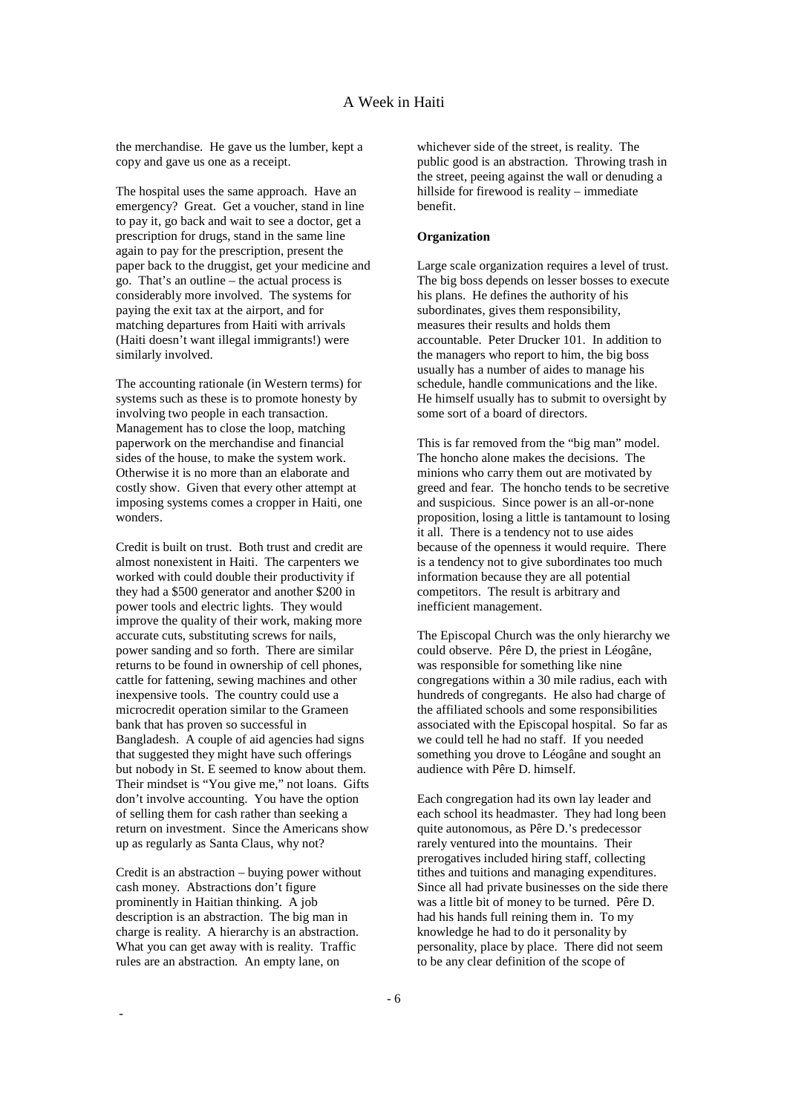the merchandise. He gave us the lumber, kept a copy and gave us one as a receipt.

The hospital uses the same approach. Have an emergency? Great. Get a voucher, stand in line to pay it, go back and wait to see a doctor, get a prescription for drugs, stand in the same line again to pay for the prescription, present the paper back to the druggist, get your medicine and go. That's an outline – the actual process is considerably more involved. The systems for paying the exit tax at the airport, and for matching departures from Haiti with arrivals (Haiti doesn't want illegal immigrants!) were similarly involved.

The accounting rationale (in Western terms) for systems such as these is to promote honesty by involving two people in each transaction. Management has to close the loop, matching paperwork on the merchandise and financial sides of the house, to make the system work. Otherwise it is no more than an elaborate and costly show. Given that every other attempt at imposing systems comes a cropper in Haiti, one wonders.

Credit is built on trust. Both trust and credit are almost nonexistent in Haiti. The carpenters we worked with could double their productivity if they had a \$500 generator and another \$200 in power tools and electric lights. They would improve the quality of their work, making more accurate cuts, substituting screws for nails, power sanding and so forth. There are similar returns to be found in ownership of cell phones, cattle for fattening, sewing machines and other inexpensive tools. The country could use a microcredit operation similar to the Grameen bank that has proven so successful in Bangladesh. A couple of aid agencies had signs that suggested they might have such offerings but nobody in St. E seemed to know about them. Their mindset is "You give me," not loans. Gifts don't involve accounting. You have the option of selling them for cash rather than seeking a return on investment. Since the Americans show up as regularly as Santa Claus, why not?

Credit is an abstraction – buying power without cash money. Abstractions don't figure prominently in Haitian thinking. A job description is an abstraction. The big man in charge is reality. A hierarchy is an abstraction. What you can get away with is reality. Traffic rules are an abstraction. An empty lane, on

-

whichever side of the street, is reality. The public good is an abstraction. Throwing trash in the street, peeing against the wall or denuding a hillside for firewood is reality – immediate benefit.

#### **Organization**

Large scale organization requires a level of trust. The big boss depends on lesser bosses to execute his plans. He defines the authority of his subordinates, gives them responsibility, measures their results and holds them accountable. Peter Drucker 101. In addition to the managers who report to him, the big boss usually has a number of aides to manage his schedule, handle communications and the like. He himself usually has to submit to oversight by some sort of a board of directors.

This is far removed from the "big man" model. The honcho alone makes the decisions. The minions who carry them out are motivated by greed and fear. The honcho tends to be secretive and suspicious. Since power is an all-or-none proposition, losing a little is tantamount to losing it all. There is a tendency not to use aides because of the openness it would require. There is a tendency not to give subordinates too much information because they are all potential competitors. The result is arbitrary and inefficient management.

The Episcopal Church was the only hierarchy we could observe. Pêre D, the priest in Léogâne, was responsible for something like nine congregations within a 30 mile radius, each with hundreds of congregants. He also had charge of the affiliated schools and some responsibilities associated with the Episcopal hospital. So far as we could tell he had no staff. If you needed something you drove to Léogâne and sought an audience with Pêre D. himself.

Each congregation had its own lay leader and each school its headmaster. They had long been quite autonomous, as Pêre D.'s predecessor rarely ventured into the mountains. Their prerogatives included hiring staff, collecting tithes and tuitions and managing expenditures. Since all had private businesses on the side there was a little bit of money to be turned. Pêre D. had his hands full reining them in. To my knowledge he had to do it personality by personality, place by place. There did not seem to be any clear definition of the scope of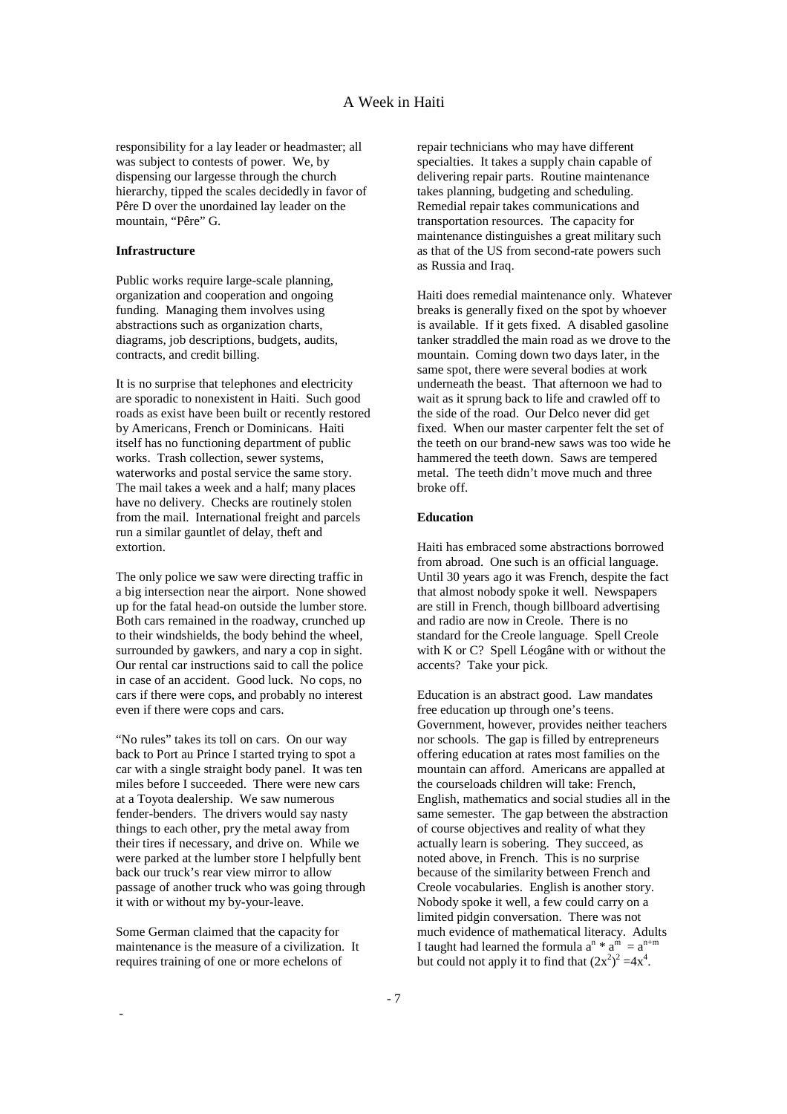responsibility for a lay leader or headmaster; all was subject to contests of power. We, by dispensing our largesse through the church hierarchy, tipped the scales decidedly in favor of Pêre D over the unordained lay leader on the mountain, "Pêre" G.

#### **Infrastructure**

Public works require large-scale planning, organization and cooperation and ongoing funding. Managing them involves using abstractions such as organization charts, diagrams, job descriptions, budgets, audits, contracts, and credit billing.

It is no surprise that telephones and electricity are sporadic to nonexistent in Haiti. Such good roads as exist have been built or recently restored by Americans, French or Dominicans. Haiti itself has no functioning department of public works. Trash collection, sewer systems, waterworks and postal service the same story. The mail takes a week and a half; many places have no delivery. Checks are routinely stolen from the mail. International freight and parcels run a similar gauntlet of delay, theft and extortion.

The only police we saw were directing traffic in a big intersection near the airport. None showed up for the fatal head-on outside the lumber store. Both cars remained in the roadway, crunched up to their windshields, the body behind the wheel, surrounded by gawkers, and nary a cop in sight. Our rental car instructions said to call the police in case of an accident. Good luck. No cops, no cars if there were cops, and probably no interest even if there were cops and cars.

"No rules" takes its toll on cars. On our way back to Port au Prince I started trying to spot a car with a single straight body panel. It was ten miles before I succeeded. There were new cars at a Toyota dealership. We saw numerous fender-benders. The drivers would say nasty things to each other, pry the metal away from their tires if necessary, and drive on. While we were parked at the lumber store I helpfully bent back our truck's rear view mirror to allow passage of another truck who was going through it with or without my by-your-leave.

Some German claimed that the capacity for maintenance is the measure of a civilization. It requires training of one or more echelons of

-

repair technicians who may have different specialties. It takes a supply chain capable of delivering repair parts. Routine maintenance takes planning, budgeting and scheduling. Remedial repair takes communications and transportation resources. The capacity for maintenance distinguishes a great military such as that of the US from second-rate powers such as Russia and Iraq.

Haiti does remedial maintenance only. Whatever breaks is generally fixed on the spot by whoever is available. If it gets fixed. A disabled gasoline tanker straddled the main road as we drove to the mountain. Coming down two days later, in the same spot, there were several bodies at work underneath the beast. That afternoon we had to wait as it sprung back to life and crawled off to the side of the road. Our Delco never did get fixed. When our master carpenter felt the set of the teeth on our brand-new saws was too wide he hammered the teeth down. Saws are tempered metal. The teeth didn't move much and three broke off.

### **Education**

Haiti has embraced some abstractions borrowed from abroad. One such is an official language. Until 30 years ago it was French, despite the fact that almost nobody spoke it well. Newspapers are still in French, though billboard advertising and radio are now in Creole. There is no standard for the Creole language. Spell Creole with K or C? Spell Léogâne with or without the accents? Take your pick.

Education is an abstract good. Law mandates free education up through one's teens. Government, however, provides neither teachers nor schools. The gap is filled by entrepreneurs offering education at rates most families on the mountain can afford. Americans are appalled at the courseloads children will take: French, English, mathematics and social studies all in the same semester. The gap between the abstraction of course objectives and reality of what they actually learn is sobering. They succeed, as noted above, in French. This is no surprise because of the similarity between French and Creole vocabularies. English is another story. Nobody spoke it well, a few could carry on a limited pidgin conversation. There was not much evidence of mathematical literacy. Adults I taught had learned the formula  $a^{n} * a^{\dot{m}} = a^{n+m}$ but could not apply it to find that  $(2x^2)^2 = 4x^4$ .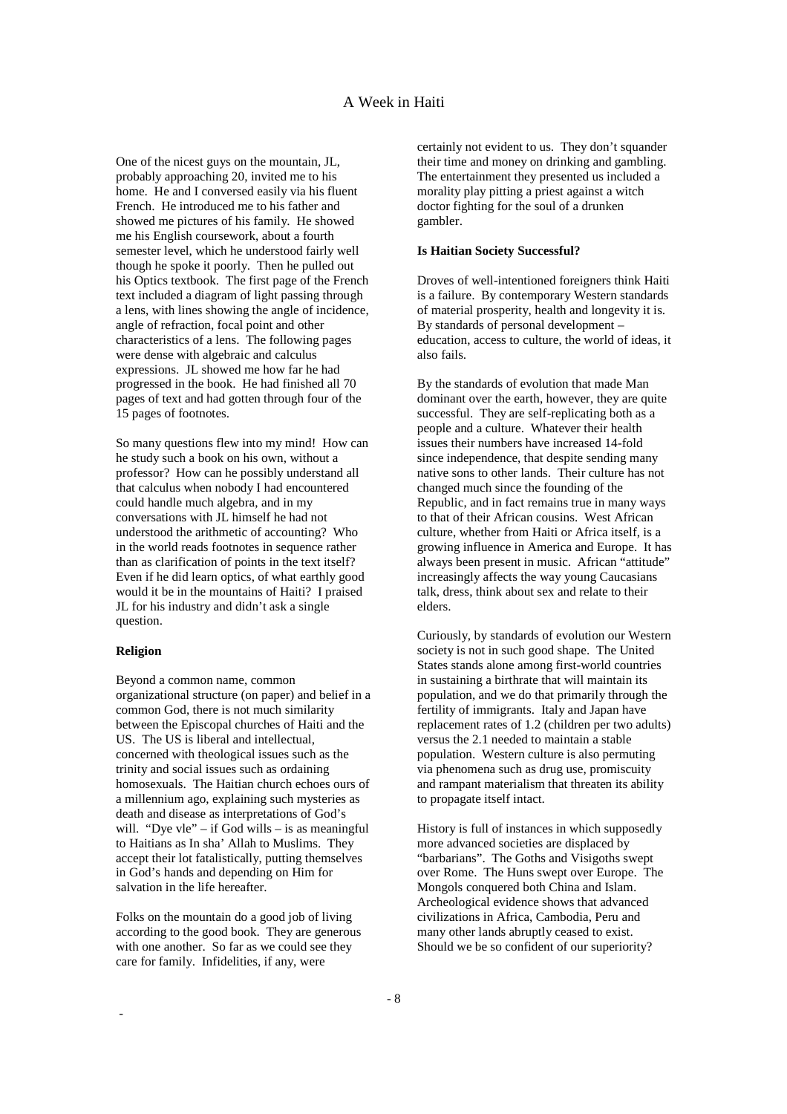One of the nicest guys on the mountain, JL, probably approaching 20, invited me to his home. He and I conversed easily via his fluent French. He introduced me to his father and showed me pictures of his family. He showed me his English coursework, about a fourth semester level, which he understood fairly well though he spoke it poorly. Then he pulled out his Optics textbook. The first page of the French text included a diagram of light passing through a lens, with lines showing the angle of incidence, angle of refraction, focal point and other characteristics of a lens. The following pages were dense with algebraic and calculus expressions. JL showed me how far he had progressed in the book. He had finished all 70 pages of text and had gotten through four of the 15 pages of footnotes.

So many questions flew into my mind! How can he study such a book on his own, without a professor? How can he possibly understand all that calculus when nobody I had encountered could handle much algebra, and in my conversations with JL himself he had not understood the arithmetic of accounting? Who in the world reads footnotes in sequence rather than as clarification of points in the text itself? Even if he did learn optics, of what earthly good would it be in the mountains of Haiti? I praised JL for his industry and didn't ask a single question.

### **Religion**

-

Beyond a common name, common organizational structure (on paper) and belief in a common God, there is not much similarity between the Episcopal churches of Haiti and the US. The US is liberal and intellectual, concerned with theological issues such as the trinity and social issues such as ordaining homosexuals. The Haitian church echoes ours of a millennium ago, explaining such mysteries as death and disease as interpretations of God's will. "Dye yle" – if God wills – is as meaningful to Haitians as In sha' Allah to Muslims. They accept their lot fatalistically, putting themselves in God's hands and depending on Him for salvation in the life hereafter.

Folks on the mountain do a good job of living according to the good book. They are generous with one another. So far as we could see they care for family. Infidelities, if any, were

certainly not evident to us. They don't squander their time and money on drinking and gambling. The entertainment they presented us included a morality play pitting a priest against a witch doctor fighting for the soul of a drunken gambler.

#### **Is Haitian Society Successful?**

Droves of well-intentioned foreigners think Haiti is a failure. By contemporary Western standards of material prosperity, health and longevity it is. By standards of personal development – education, access to culture, the world of ideas, it also fails.

By the standards of evolution that made Man dominant over the earth, however, they are quite successful. They are self-replicating both as a people and a culture. Whatever their health issues their numbers have increased 14-fold since independence, that despite sending many native sons to other lands. Their culture has not changed much since the founding of the Republic, and in fact remains true in many ways to that of their African cousins. West African culture, whether from Haiti or Africa itself, is a growing influence in America and Europe. It has always been present in music. African "attitude" increasingly affects the way young Caucasians talk, dress, think about sex and relate to their elders.

Curiously, by standards of evolution our Western society is not in such good shape. The United States stands alone among first-world countries in sustaining a birthrate that will maintain its population, and we do that primarily through the fertility of immigrants. Italy and Japan have replacement rates of 1.2 (children per two adults) versus the 2.1 needed to maintain a stable population. Western culture is also permuting via phenomena such as drug use, promiscuity and rampant materialism that threaten its ability to propagate itself intact.

History is full of instances in which supposedly more advanced societies are displaced by "barbarians". The Goths and Visigoths swept over Rome. The Huns swept over Europe. The Mongols conquered both China and Islam. Archeological evidence shows that advanced civilizations in Africa, Cambodia, Peru and many other lands abruptly ceased to exist. Should we be so confident of our superiority?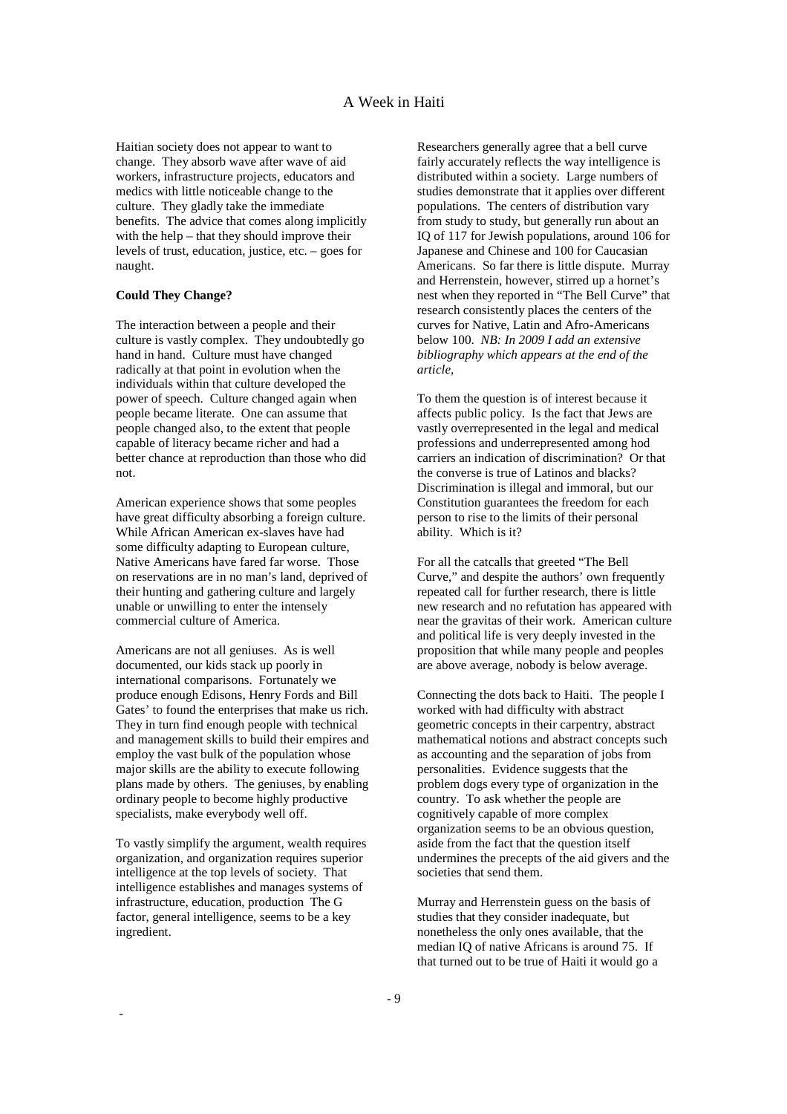Haitian society does not appear to want to change. They absorb wave after wave of aid workers, infrastructure projects, educators and medics with little noticeable change to the culture. They gladly take the immediate benefits. The advice that comes along implicitly with the help – that they should improve their levels of trust, education, justice, etc. – goes for naught.

### **Could They Change?**

The interaction between a people and their culture is vastly complex. They undoubtedly go hand in hand. Culture must have changed radically at that point in evolution when the individuals within that culture developed the power of speech. Culture changed again when people became literate. One can assume that people changed also, to the extent that people capable of literacy became richer and had a better chance at reproduction than those who did not.

American experience shows that some peoples have great difficulty absorbing a foreign culture. While African American ex-slaves have had some difficulty adapting to European culture, Native Americans have fared far worse. Those on reservations are in no man's land, deprived of their hunting and gathering culture and largely unable or unwilling to enter the intensely commercial culture of America.

Americans are not all geniuses. As is well documented, our kids stack up poorly in international comparisons. Fortunately we produce enough Edisons, Henry Fords and Bill Gates' to found the enterprises that make us rich. They in turn find enough people with technical and management skills to build their empires and employ the vast bulk of the population whose major skills are the ability to execute following plans made by others. The geniuses, by enabling ordinary people to become highly productive specialists, make everybody well off.

To vastly simplify the argument, wealth requires organization, and organization requires superior intelligence at the top levels of society. That intelligence establishes and manages systems of infrastructure, education, production The G factor, general intelligence, seems to be a key ingredient.

-

Researchers generally agree that a bell curve fairly accurately reflects the way intelligence is distributed within a society. Large numbers of studies demonstrate that it applies over different populations. The centers of distribution vary from study to study, but generally run about an IQ of 117 for Jewish populations, around 106 for Japanese and Chinese and 100 for Caucasian Americans. So far there is little dispute. Murray and Herrenstein, however, stirred up a hornet's nest when they reported in "The Bell Curve" that research consistently places the centers of the curves for Native, Latin and Afro-Americans below 100. *NB: In 2009 I add an extensive bibliography which appears at the end of the article,*

To them the question is of interest because it affects public policy. Is the fact that Jews are vastly overrepresented in the legal and medical professions and underrepresented among hod carriers an indication of discrimination? Or that the converse is true of Latinos and blacks? Discrimination is illegal and immoral, but our Constitution guarantees the freedom for each person to rise to the limits of their personal ability. Which is it?

For all the catcalls that greeted "The Bell Curve," and despite the authors' own frequently repeated call for further research, there is little new research and no refutation has appeared with near the gravitas of their work. American culture and political life is very deeply invested in the proposition that while many people and peoples are above average, nobody is below average.

Connecting the dots back to Haiti. The people I worked with had difficulty with abstract geometric concepts in their carpentry, abstract mathematical notions and abstract concepts such as accounting and the separation of jobs from personalities. Evidence suggests that the problem dogs every type of organization in the country. To ask whether the people are cognitively capable of more complex organization seems to be an obvious question, aside from the fact that the question itself undermines the precepts of the aid givers and the societies that send them.

Murray and Herrenstein guess on the basis of studies that they consider inadequate, but nonetheless the only ones available, that the median IQ of native Africans is around 75. If that turned out to be true of Haiti it would go a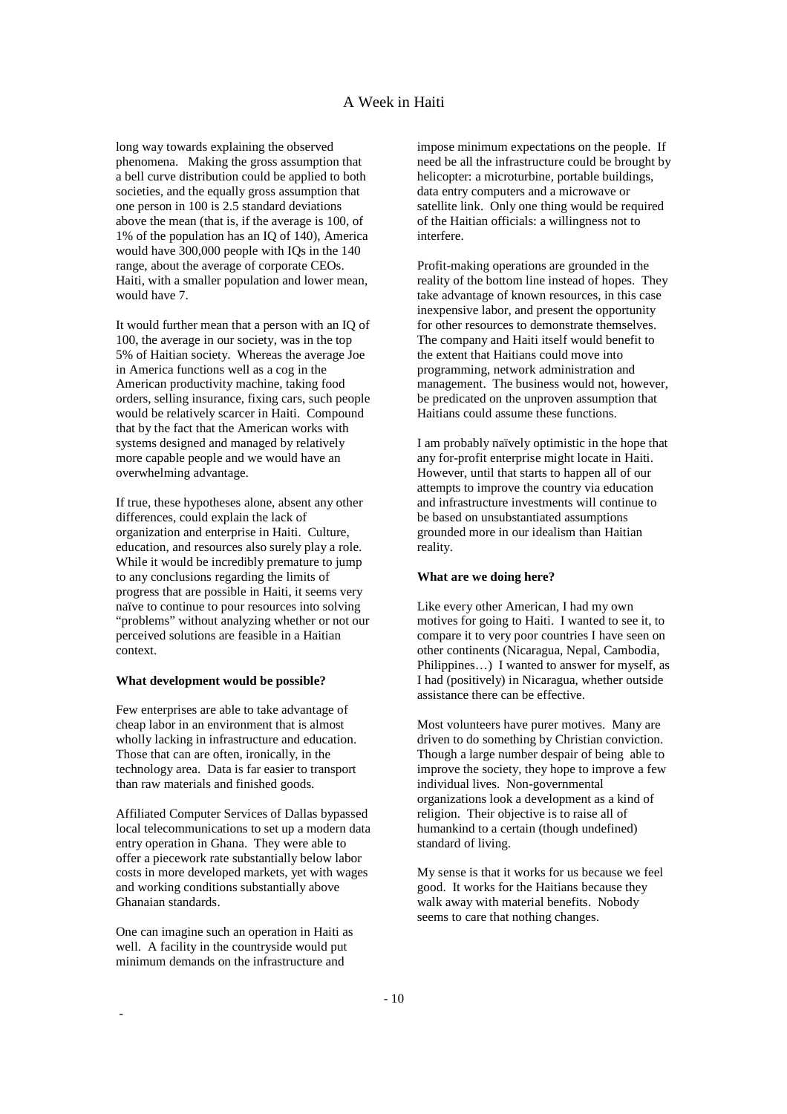long way towards explaining the observed phenomena. Making the gross assumption that a bell curve distribution could be applied to both societies, and the equally gross assumption that one person in 100 is 2.5 standard deviations above the mean (that is, if the average is 100, of 1% of the population has an IQ of 140), America would have 300,000 people with IQs in the 140 range, about the average of corporate CEOs. Haiti, with a smaller population and lower mean, would have 7.

It would further mean that a person with an IQ of 100, the average in our society, was in the top 5% of Haitian society. Whereas the average Joe in America functions well as a cog in the American productivity machine, taking food orders, selling insurance, fixing cars, such people would be relatively scarcer in Haiti. Compound that by the fact that the American works with systems designed and managed by relatively more capable people and we would have an overwhelming advantage.

If true, these hypotheses alone, absent any other differences, could explain the lack of organization and enterprise in Haiti. Culture, education, and resources also surely play a role. While it would be incredibly premature to jump to any conclusions regarding the limits of progress that are possible in Haiti, it seems very naïve to continue to pour resources into solving "problems" without analyzing whether or not our perceived solutions are feasible in a Haitian context.

### **What development would be possible?**

Few enterprises are able to take advantage of cheap labor in an environment that is almost wholly lacking in infrastructure and education. Those that can are often, ironically, in the technology area. Data is far easier to transport than raw materials and finished goods.

Affiliated Computer Services of Dallas bypassed local telecommunications to set up a modern data entry operation in Ghana. They were able to offer a piecework rate substantially below labor costs in more developed markets, yet with wages and working conditions substantially above Ghanaian standards.

One can imagine such an operation in Haiti as well. A facility in the countryside would put minimum demands on the infrastructure and

-

impose minimum expectations on the people. If need be all the infrastructure could be brought by helicopter: a microturbine, portable buildings, data entry computers and a microwave or satellite link. Only one thing would be required of the Haitian officials: a willingness not to interfere.

Profit-making operations are grounded in the reality of the bottom line instead of hopes. They take advantage of known resources, in this case inexpensive labor, and present the opportunity for other resources to demonstrate themselves. The company and Haiti itself would benefit to the extent that Haitians could move into programming, network administration and management. The business would not, however, be predicated on the unproven assumption that Haitians could assume these functions.

I am probably naïvely optimistic in the hope that any for-profit enterprise might locate in Haiti. However, until that starts to happen all of our attempts to improve the country via education and infrastructure investments will continue to be based on unsubstantiated assumptions grounded more in our idealism than Haitian reality.

### **What are we doing here?**

Like every other American, I had my own motives for going to Haiti. I wanted to see it, to compare it to very poor countries I have seen on other continents (Nicaragua, Nepal, Cambodia, Philippines…) I wanted to answer for myself, as I had (positively) in Nicaragua, whether outside assistance there can be effective.

Most volunteers have purer motives. Many are driven to do something by Christian conviction. Though a large number despair of being able to improve the society, they hope to improve a few individual lives. Non-governmental organizations look a development as a kind of religion. Their objective is to raise all of humankind to a certain (though undefined) standard of living.

My sense is that it works for us because we feel good. It works for the Haitians because they walk away with material benefits. Nobody seems to care that nothing changes.